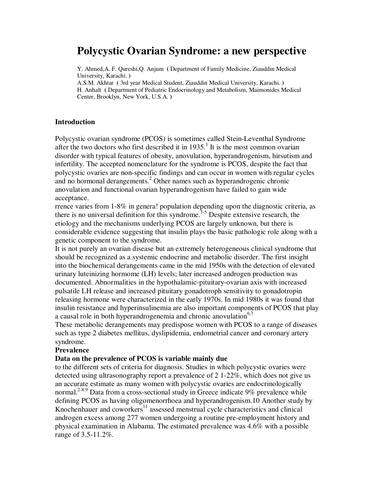# **Polycystic Ovarian Syndrome: a new perspective**

Y. Ahmed,A. F. Qureshi,Q. Anjum **(** Department of Family Medicine, Ziauddin Medical University, Karachi. **)** 

A.S.M. Akhtar **(** 3rd year Medical Student, Ziauddin Medical University, Karachi. **)**  H. Anhalt **(** Department of Pediatric Endocrinology and Metabolism, Maimonides Medical Center, Brooklyn, New York, U.S.A. **)**

#### **Introduction**

Polycystic ovarian syndrome (PCOS) is sometimes called Stein-Leventhal Syndrome after the two doctors who first described it in  $1935$ .<sup>1</sup> It is the most common ovarian disorder with typical features of obesity, anovulation, hyperandrogenism, hirsutism and infertility. The accepted nomenclature for the syndrome is PCOS, despite the fact that polycystic ovaries are non-specific findings and can occur in women with regular cycles and no hormonal derangements.<sup>2</sup> Other names such as hyperandrogenic chronic anovulation and functional ovarian hyperandrogenism have failed to gain wide acceptance.

rrence varies from 1-8% in genera! population depending upon the diagnostic criteria, as there is no universal definition for this syndrome.<sup>3-5</sup> Despite extensive research, the etiology and the mechanisms underlying PCOS are largely unknown, but there is considerable evidence suggesting that insulin plays the basic pathologic role along with a genetic component to the syndrome.

It is not purely an ovarian disease but an extremely heterogeneous clinical syndrome that should be recognized as a systemic endocrine and metabolic disorder. The first insight into the biochemical derangements came in the mid 1950s with the detection of elevated urinary luteinizing hormome (LH) levels; later increased androgen production was documented. Abnormalities in the hypothalamic-pituitary-ovarian axis with increased pulsatile LH release and increased pituitary gonadotroph sensitivity to gonadotropin releasing hormone were characterized in the early 1970s. In mid 1980s it was found that insulin resistance and hyperinsulinemia are also important components of PCOS that play a causal role in both hyperandrogenemia and chronic anovulation $6,7$ 

These metabolic derangements may predispose women with PCOS to a range of diseases such as type 2 diabetes mellitus, dyslipidemia, endometrial cancer and coronary artery syndrome.

#### **Prevalence**

#### **Data on the prevalence of PCOS is variable mainly due**

to the different sets of criteria for diagnosis. Studies in which polycystic ovaries were detected using ultrasonography report a prevalence of 2 1-22%, which does not give us an accurate estimate as many women with polycystic ovaries are endocrinologically normal.<sup>2-8.9</sup> Data from a cross-sectional study in Greece indicate 9% prevalence while defining PCOS as having oligomenorrhoea and hyperandrogenism.10 Another study by Knochenhauer and coworkers $11$  assessed menstrual cycle characteristics and clinical androgen excess among 277 women undergoing a routine pre-employment history and physical examination in Alabama. The estimated prevalence was 4.6% with a possible range of 3.5-11.2%.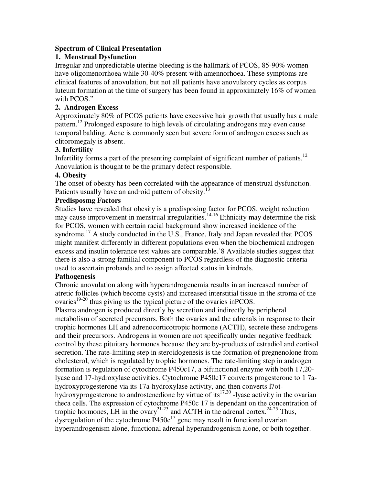#### **Spectrum of Clinical Presentation**

#### **1. Menstrual Dysfunction**

Irregular and unpredictable uterine bleeding is the hallmark of PCOS, 85-90% women have oligomenorrhoea while 30-40% present with amennorhoea. These symptoms are clinical features of anovulation, but not all patients have anovulatory cycles as corpus luteum formation at the time of surgery has been found in approximately 16% of women with PCOS."

#### **2. Androgen Excess**

Approximately 80% of PCOS patients have excessive hair growth that usually has a male pattern.<sup>12</sup> Prolonged exposure to high levels of circulating androgens may even cause temporal balding. Acne is commonly seen but severe form of androgen excess such as clitoromegaly is absent.

#### **3. Infertility**

Infertility forms a part of the presenting complaint of significant number of patients.<sup>12</sup> Anovulation is thought to be the primary defect responsible.

#### **4. Obesity**

The onset of obesity has been correlated with the appearance of menstrual dysfunction. Patients usually have an android pattern of obesity.<sup>1</sup>

#### **Predisposmg Factors**

Studies have revealed that obesity is a predisposing factor for PCOS, weight reduction may cause improvement in menstrual irregularities.<sup>14-16</sup> Ethnicity may determine the risk for PCOS, women with certain racial background show increased incidence of the syndrome.<sup>17</sup> A study conducted in the U.S., France, Italy and Japan revealed that  $PCOS$ might manifest differently in different populations even when the biochemical androgen excess and insulin tolerance test values are comparable.'8 Available studies suggest that there is also a strong familial component to PCOS regardless of the diagnostic criteria used to ascertain probands and to assign affected status in kindreds.

## **Pathogenesis**

Chronic anovulation along with hyperandrogenemia results in an increased number of atretic follicles (which become cysts) and increased interstitial tissue in the stroma of the ovaries<sup>19-20</sup> thus giving us the typical picture of the ovaries in PCOS.

Plasma androgen is produced directly by secretion and indirectly by peripheral metabolism of secreted precursors. Both the ovaries and the adrenals in response to their trophic hormones LH and adrenocorticotropic hormone (ACTH), secrete these androgens and their precursors. Androgens in women are not specifically under negative feedback control by these pituitary hormones because they are by-products of estradiol and cortisol secretion. The rate-limiting step in steroidogenesis is the formation of pregnenolone from cholesterol, which is regulated by trophic hormones. The rate-limiting step in androgen formation is regulation of cytochrome P450c17, a bifunctional enzyme with both 17,20 lyase and 17-hydroxylase activities. Cytochrome P450c17 converts progesterone to 1 7ahydroxyprogesterone via its 17a-hydroxylase activity, and then converts l7othydroxyprogesterone to androstenedione by virtue of its<sup>17,20</sup> -lyase activity in the ovarian theca cells. The expression of cytochrome P450c 17 is dependant on the concentration of trophic hormones, LH in the ovary<sup>21-23</sup> and ACTH in the adrenal cortex.<sup>24-25</sup> Thus, dysregulation of the cytochrome  $P450c^{17}$  gene may result in functional ovarian hyperandrogenism alone, functional adrenal hyperandrogenism alone, or both together.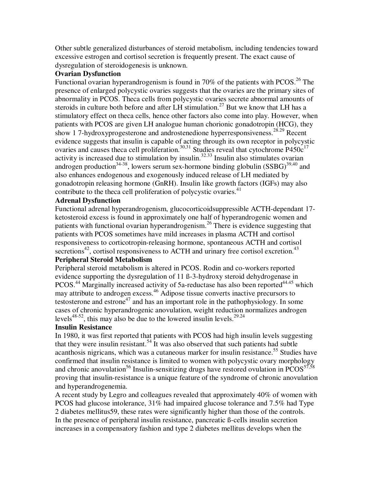Other subtle generalized disturbances of steroid metabolism, including tendencies toward excessive estrogen and cortisol secretion is frequently present. The exact cause of dysregulation of steroidogenesis is unknown.

#### **Ovarian Dysfunction**

Functional ovarian hyperandrogenism is found in 70% of the patients with PCOS.<sup>26</sup> The presence of enlarged polycystic ovaries suggests that the ovaries are the primary sites of abnormality in PCOS. Theca cells from polycystic ovaries secrete abnormal amounts of steroids in culture both before and after LH stimulation.<sup>27</sup> But we know that LH has a stimulatory effect on theca cells, hence other factors also come into play. However, when patients with PCOS are given LH analogue human chorionic gonadotropin (HCG), they show 1 7-hydroxyprogesterone and androstenedione hyperresponsiveness.<sup>28.29</sup> Recent evidence suggests that insulin is capable of acting through its own receptor in polycystic ovaries and causes theca cell proliferation.<sup>30,31</sup> Studies reveal that cytochrome  $P450c^{17}$ activity is increased due to stimulation by insulin.<sup>32.33</sup> Insulin also stimulates ovarian androgen production<sup>34-38</sup>, lowers serum sex-hormone binding globulin  $(SSBG)^{39,40}$  and also enhances endogenous and exogenously induced release of LH mediated by gonadotropin releasing hormone (GnRH). Insulin like growth factors (IGFs) may also contribute to the theca cell proliferation of polycystic ovaries.<sup>41</sup>

# **Adrenal Dysfunction**

Functional adrenal hyperandrogenism, glucocorticoidsuppressible ACTH-dependant 17 ketosteroid excess is found in approximately one half of hyperandrogenic women and patients with functional ovarian hyperandrogenism.<sup>26</sup> There is evidence suggesting that patients with PCOS sometimes have mild increases in plasma ACTH and cortisol responsiveness to corticotropin-releasing hormone, spontaneous ACTH and cortisol secretions<sup>42</sup>, cortisol responsiveness to ACTH and urinary free cortisol excretion.<sup>43</sup>

# **Peripheral Steroid Metabolism**

Peripheral steroid metabolism is altered in PCOS. Rodin and co-workers reported evidence supporting the dysregulation of 11 ß-3-hydroxy steroid dehydrogenase in PCOS.<sup>44</sup> Marginally increased activity of 5a-reductase has also been reported<sup>44.45</sup> which may attribute to androgen excess.<sup>46</sup> Adipose tissue converts inactive precursors to testosterone and estrone<sup>47</sup> and has an important role in the pathophysiology. In some cases of chronic hyperandrogenic anovulation, weight reduction normalizes androgen levels $^{48-52}$ , this may also be due to the lowered insulin levels.<sup>29.24</sup>

## **Insulin Resistance**

In 1980, it was first reported that patients with PCOS had high insulin levels suggesting that they were insulin resistant.<sup>54</sup> It was also observed that such patients had subtle acanthosis nigricans, which was a cutaneous marker for insulin resistance.<sup>55</sup> Studies have confirmed that insulin resistance is limited to women with polycystic ovary morphology and chronic anovulation<sup>56</sup> Insulin-sensitizing drugs have restored ovulation in  $PCOS^{57,58}$ proving that insulin-resistance is a unique feature of the syndrome of chronic anovulation and hyperandrogenemia.

A recent study by Legro and colleagues revealed that approximately 40% of women with PCOS had glucose intolerance, 31% had impaired glucose tolerance and 7.5% had Type 2 diabetes mellitus59, these rates were significantly higher than those of the controls. In the presence of peripheral insulin resistance, pancreatic ß-ceIls insulin secretion increases in a compensatory fashion and type 2 diabetes mellitus develops when the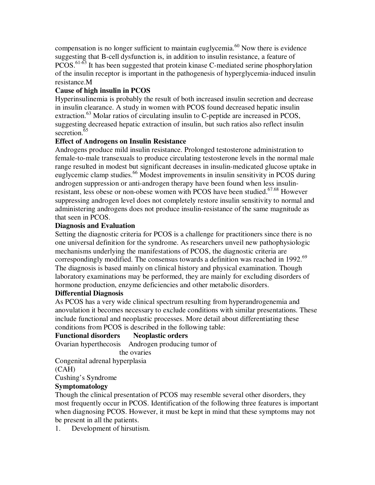compensation is no longer sufficient to maintain euglycemia.<sup>60</sup> Now there is evidence suggesting that B-cell dysfunction is, in addition to insulin resistance, a feature of PCOS.<sup>61-63</sup> It has been suggested that protein kinase C-mediated serine phosphorylation of the insulin receptor is important in the pathogenesis of hyperglycemia-induced insulin resistance.M

# **Cause of high insulin in PCOS**

Hyperinsulinemia is probably the result of both increased insulin secretion and decrease in insulin clearance. A study in women with PCOS found decreased hepatic insulin extraction.<sup>63</sup> Molar ratios of circulating insulin to C-peptide are increased in PCOS, suggesting decreased hepatic extraction of insulin, but such ratios also reflect insulin secretion. $65$ 

## **Effect of Androgens on Insulin Resistance**

Androgens produce mild insulin resistance. Prolonged testosterone administration to female-to-male transexuals to produce circulating testosterone levels in the normal male range resulted in modest but significant decreases in insulin-medicated glucose uptake in euglycemic clamp studies.<sup>66</sup> Modest improvements in insulin sensitivity in PCOS during androgen suppression or anti-androgen therapy have been found when less insulinresistant, less obese or non-obese women with PCOS have been studied.<sup>67.68</sup> However suppressing androgen level does not completely restore insulin sensitivity to normal and administering androgens does not produce insulin-resistance of the same magnitude as that seen in PCOS.

## **Diagnosis and Evaluation**

Setting the diagnostic criteria for PCOS is a challenge for practitioners since there is no one universal definition for the syndrome. As researchers unveil new pathophysiologic mechanisms underlying the manifestations of PCOS, the diagnostic criteria are correspondingly modified. The consensus towards a definition was reached in 1992.<sup>69</sup> The diagnosis is based mainly on clinical history and physical examination. Though laboratory examinations may be performed, they are mainly for excluding disorders of hormone production, enzyme deficiencies and other metabolic disorders.

## **Differential Diagnosis**

As PCOS has a very wide clinical spectrum resulting from hyperandrogenemia and anovulation it becomes necessary to exclude conditions with similar presentations. These include functional and neoplastic processes. More detail about differentiating these conditions from PCOS is described in the following table:

# **Functional disorders Neoplastic orders**

Ovarian hyperthecosis Androgen producing tumor of

the ovaries

Congenital adrenal hyperplasia

(CAH)

Cushing's Syndrome

# **Symptomatology**

Though the clinical presentation of PCOS may resemble several other disorders, they most frequently occur in PCOS. Identification of the following three features is important when diagnosing PCOS. However, it must be kept in mind that these symptoms may not be present in all the patients.

1. Development of hirsutism.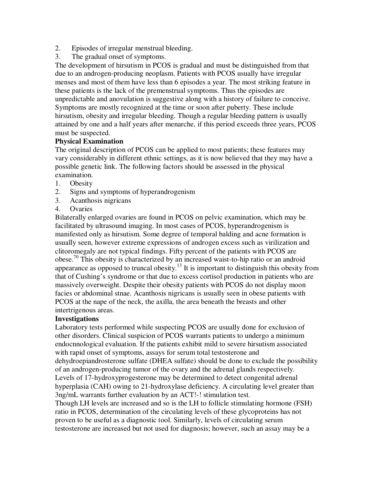- 2. Episodes of irregular menstrual bleeding.
- 3. The gradual onset of symptoms.

The development of hirsutism in PCOS is gradual and must be distinguished from that due to an androgen-producing neoplasm. Patients with PCOS usually have irregular menses and most of them have less than 6 episodes a year. The most striking feature in these patients is the lack of the premenstrual symptoms. Thus the episodes are unpredictable and anovulation is suggestive along with a history of failure to conceive. Symptoms are mostly recognized at the time or soon after puberty. These include hirsutism, obesity and irregular bleeding. Though a regular bleeding pattern is usually attained by one and a half years after menarche, if this period exceeds three years, PCOS must be suspected.

#### **Physical Examination**

The original description of PCOS can be applied to most patients; these features may vary considerably in different ethnic settings, as it is now believed that they may have a possible genetic link. The following factors should be assessed in the physical examination.

- 1. Obesity
- 2. Signs and symptoms of hyperandrogenism
- 3. Acanthosis nigricans
- 4. Ovaries

Bilaterally enlarged ovaries are found in PCOS on pelvic examination, which may be facilitated by ultrasound imaging. In most cases of PCOS, hyperandrogenism is manifested only as hirsutism. Some degree of temporal balding and acne formation is usually seen, however extreme expressions of androgen excess such as virilization and clitoromegaly are not typical findings. Fifty percent of the patients with PCOS are obese.<sup>70</sup> This obesity is characterized by an increased waist-to-hip ratio or an android appearance as opposed to truncal obesity.<sup>13</sup> It is important to distinguish this obesity from that of Cushing's syndrome or that due to excess cortisol production in patients who are massively overweight. Despite their obesity patients with PCOS do not display moon facies or abdominal stnae. Acanthosis nigricans is usually seen in obese patients with PCOS at the nape of the neck, the axilla, the area beneath the breasts and other intertrigenous areas.

#### **Investigations**

Laboratory tests performed while suspecting PCOS are usually done for exclusion of other disorders. Clinical suspicion of PCOS warrants patients to undergo a minimum endocnnological evaluation. If the patients exhibit mild to severe hirsutism associated with rapid onset of symptoms, assays for serum total testosterone and dehydroepiandrosterone sulfate (DHEA sulfate) should be done to exclude the possibility of an androgen-producing tumor of the ovary and the adrenal glands respectively. Levels of 17-hydroxyprogesterone may be determined to detect congenital adrenal hyperplasia (CAH) owing to 21-hydroxylase deficiency. A circulating level greater than 3ng/mL warrants further evaluation by an ACT!-! stimulation test.

Though LH levels are increased and so is the LH to follicle stimulating hormone (FSH) ratio in PCOS, determination of the circulating levels of these glycoproteins has not proven to be useful as a diagnostic tool. Similarly, levels of circulating serum testosterone are increased but not used for diagnosis; however, such an assay may be a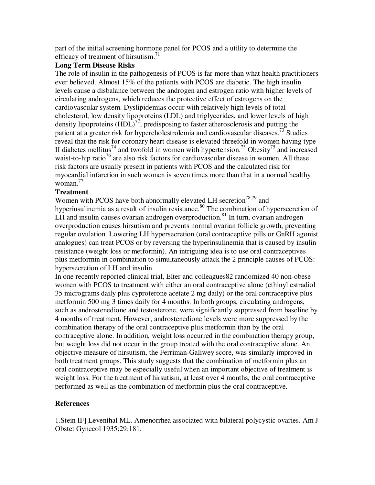part of the initial screening hormone panel for PCOS and a utility to determine the efficacy of treatment of hirsutism.<sup>71</sup>

## **Long Term Disease Risks**

The role of insulin in the pathogenesis of PCOS is far more than what health practitioners ever believed. Almost 15% of the patients with PCOS are diabetic. The high insulin levels cause a disbalance between the androgen and estrogen ratio with higher levels of circulating androgens, which reduces the protective effect of estrogens on the cardiovascular system. Dyslipidemias occur with relatively high levels of total cholesterol, low density lipoproteins (LDL) and triglycerides, and lower levels of high density lipoproteins  $(HDL)^{72}$ , predisposing to faster atherosclerosis and putting the patient at a greater risk for hypercholestrolemia and cardiovascular diseases.<sup>73</sup> Studies reveal that the risk for coronary heart disease is elevated threefold in women having type II diabetes mellitus<sup>74</sup> and twofold in women with hypertension.<sup>73</sup> Obesity<sup>75</sup> and increased waist-to-hip ratio<sup>76</sup> are also risk factors for cardiovascular disease in women. All these risk factors are usually present in patients with PCOS and the calculated risk for myocardial infarction in such women is seven times more than that in a normal healthy woman. $^{77}$ 

# **Treatment**

Women with PCOS have both abnormally elevated LH secretion<sup>78,79</sup> and hyperinsulinemia as a result of insulin resistance.<sup>80</sup> The combination of hypersecretion of LH and insulin causes ovarian androgen overproduction.<sup>81</sup> In turn, ovarian androgen overproduction causes hirsutism and prevents normal ovarian follicle growth, preventing regular ovulation. Lowering LH hypersecretion (oral contraceptive pills or GnRH agonist analogues) can treat PCOS or by reversing the hyperinsulinemia that is caused by insulin resistance (weight loss or metformin). An intriguing idea is to use oral contraceptives plus metformin in combination to simultaneously attack the 2 principle causes of PCOS: hypersecretion of LH and insulin.

In one recently reported clinical trial, Elter and colleagues82 randomized 40 non-obese women with PCOS to treatment with either an oral contraceptive alone (ethinyl estradiol 35 micrograms daily plus cyproterone acetate 2 mg daily) or the oral contraceptive plus metformin 500 mg 3 times daily for 4 months. In both groups, circulating androgens, such as androstenedione and testosterone, were significantly suppressed from baseline by 4 months of treatment. However, androstenedione levels were more suppressed by the combination therapy of the oral contraceptive plus metformin than by the oral contraceptive alone. In addition, weight loss occurred in the combination therapy group, but weight loss did not occur in the group treated with the oral contraceptive alone. An objective measure of hirsutism, the Ferriman-Galiwey score, was similarly improved in both treatment groups. This study suggests that the combination of metformin plus an oral contraceptive may be especially useful when an important objective of treatment is weight loss. For the treatment of hirsutism, at least over 4 months, the oral contraceptive performed as well as the combination of metformin plus the oral contraceptive.

# **References**

1.Stein IF] Leventhal ML. Amenorrhea associated with bilateral polycystic ovaries. Am J Obstet Gynecol 1935;29:181.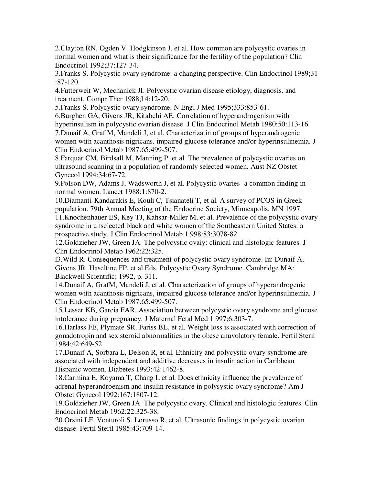2.Clayton RN, Ogden V. Hodgkinson J. et al. How common are polycystic ovaries in normal women and what is their significance for the fertility of the population? Clin Endocrinol 1992;37:127-34.

3.Franks S. Polycystic ovary syndrome: a changing perspective. Clin Endocrinol 1989;31 :87-120.

4.Futterweit W, Mechanick JI. Polycystic ovarian disease etiology, diagnosis. and treatment. Compr Ther 1988;l 4:12-20.

5.Franks S. Polycystic ovary syndrome. N Engl J Med 1995;333:853-61.

6.Burghen GA, Givens JR, Kitabchi AE. Correlation of hyperandrogenism with hyperinsulism in polycystic ovarian disease. J Clin Endocrinol Metab 1980:50:113-16. 7.Dunaif A, Graf M, Mandeli J, et al. Characterizatin of groups of hyperandrogenic

women with acanthosis nigricans. impaired glucose tolerance and/or hyperinsulinemia. J Clin Endocrinol Metab 1987:65:499-507.

8.Farquar CM, Birdsall M, Manning P. et al. The prevalence of polycystic ovaries on ultrasound scanning in a population of randomly selected women. Aust NZ Obstet Gynecol 1994:34:67-72.

9.PoIson DW, Adams J, Wadsworth J, et al. Polycystic ovaries- a common finding in normal women. Lancet 1988:1:870-2.

10.Diamanti-Kandarakis E, Kouli C, Tsianateli T, et al. A survey of PCOS in Greek population. 79th Annual Meeting of the Endocrine Society, Minneapolis, MN 1997. 11.Knochenhauer ES, Key TJ, Kahsar-Miller M, et al. Prevalence of the polycystic ovary syndrome in unselected black and white women of the Southeastern United States: a prospective study. J Clin Endocrinol Metab 1 998:83:3078-82.

12.Goldzieher JW, Green JA. The polycystic ovaiy: clinical and histologic features. J Clin Endocrinol Metab 1962:22:325.

l3.Wild R. Consequences and treatment of polycystic ovary syndrome. In: Dunaif A, Givens JR. Haseltine FP, et al Eds. Polycystic Ovary Syndrome. Cambridge MA: Blackwell Scientific; 1992, p. 311.

14.Dunaif A, GrafM, Mandeli J, et al. Characterization of groups of hyperandrogenic women with acanthosis nigricans, impaired glucose tolerance and/or hyperinsulinemia. J Clin Endocrinol Metab 1987:65:499-507.

15.Lesser KB, Garcia FAR. Association between polycystic ovary syndrome and glucose intolerance during pregnancy. J Maternal Fetal Med 1 997;6:303-7.

16.Harlass FE, Plymate SR. Fariss BL, et al. Weight loss is associated with correction of gonadotropin and sex steroid abnormalities in the obese anuvolatory female. Fertil Steril 1984;42:649-52.

17.Dunaif A, Sorbara L, Delson R, et al. Ethnicity and polycystic ovary syndrome are associated with independent and additive decreases in insulin action in Caribbean Hispanic women. Diabetes 1993:42:1462-8.

18.Carmina E, Koyama T, Chang L et al. Does ethnicity influence the prevalence of adrenal hyperandroenism and insulin resistance in polysystic ovary syndrome? Am J Obstet Gynecol 1992;167:1807-12.

19.Goldzieher JW, Green JA. The polycystic ovary. Clinical and histologic features. Clin Endocrinol Metab 1962:22:325-38.

20.Orsini LF, Venturoli S. Lorusso R, et al. Ultrasonic findings in polycystic ovarian disease. Fertil Steril 1985:43:709-14.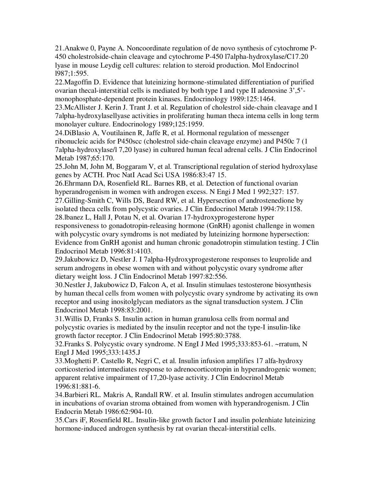21.Anakwe 0, Payne A. Noncoordinate regulation of de novo synthesis of cytochrome P-450 cholestrolside-chain cleavage and cytochrome P-450 l7alpha-hydroxylase/C17.20 lyase in mouse Leydig cell cultures: relation to steroid production. Mol Endocrinol l987;1:595.

22.Magoffin D. Evidence that luteinizing hormone-stimulated differentiation of purified ovarian thecal-interstitial cells is mediated by both type I and type II adenosine 3',5' monophosphate-dependent protein kinases. Endocrinology 1989:125:1464.

23.McAllister J. Kerin J. Trant J. et al. Regulation of cholestrol side-chain cleavage and I 7alpha-hydroxylasellyase activities in proliferating human theca intema cells in long term monolayer culture. Endocrinology 1989;125:1959.

24.DiBlasio A, Voutilainen R, Jaffe R, et al. Hormonal regulation of messenger ribonucleic acids for P450scc (cholestrol side-chain cleavage enzyme) and P450c 7 (1 7alpha-hydroxylase/l 7,20 lyase) in cultured human fecal adrenal cells. J Clin Endocrinol Metab 1987;65:170.

25.John M, John M, Boggaram V, et al. Transcriptional regulation of steriod hydroxylase genes by ACTH. Proc NatI Acad Sci USA 1986:83:47 15.

26.Ehrmann DA, Rosenfield RL. Barnes RB, et al. Detection of functional ovarian hyperandrogenism in women with androgen excess. N Engi J Med 1 992;327: 157. 27.Gilling-Smith C, Wills DS, Beard RW, et al. Hypersection of androstenedione by

isolated theca cells from polycystic ovaries. J Clin Endocrinol Metab 1994:79:1158.

28.lbanez L, Hall J, Potau N, et al. Ovarian 17-hydroxyprogesterone hyper responsiveness to gonadotropin-releasing hormone (GnRH) agonist challenge in women with polycystic ovary symdroms is not mediated by luteinizing hormone hypersection: Evidence from GnRH agonist and human chronic gonadotropin stimulation testing. J Clin Endocrinol Metab 1996:81:4103.

29.Jakubowicz D, Nestler J. I 7alpha-Hydroxyprogesterone responses to leuprolide and serum androgens in obese women with and without polycystic ovary syndrome after dietary weight loss. J Clin Endocrinol Metab 1997:82:556.

30.Nestler J, Jakubowicz D, Falcon A, et al. Insulin stimulaes testosterone biosynthesis by human thecal cells from women with polycystic ovary syndrome by activating its own receptor and using inositolglycan mediators as the signal transduction system. J Clin Endocrinol Metab 1998:83:2001.

31.Willis D, Franks S. Insulin action in human granulosa cells from normal and polycystic ovaries is mediated by the insulin receptor and not the type-I insulin-like growth factor receptor. J Clin Endocrinol Metab 1995:80:3788.

32.Franks S. Polycystic ovary syndrome. N EngI J Med 1995;333:853-61. ~rratum, N EngI J Med 1995;333:1435.J

33.Moghetti P. Castello R, Negri C, et al. Insulin infusion amplifies 17 alfa-hydroxy corticosteriod intermediates response to adrenocorticotropin in hyperandrogenic women; apparent relative impairment of 17,20-lyase activity. J Clin Endocrinol Metab 1996:81:881-6.

34.Barbieri RL. Makris A, Randall RW. et al. Insulin stimulates androgen accumulation in incubations of ovarian stroma obtained from women with hyperandrogenism. J Clin Endocrin Metab 1986:62:904-10.

35.Cars iF, Rosenfield RL. Insulin-like growth factor I and insulin polenhiate luteinizing hormone-induced androgen synthesis by rat ovarian thecal-interstitial cells.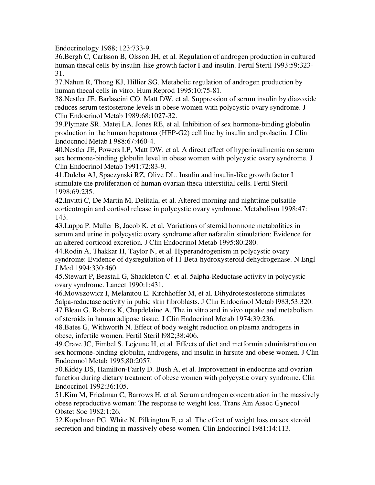Endocrinology 1988; 123:733-9.

36.Bergh C, Carlsson B, Olsson JH, et al. Regulation of androgen production in cultured human thecal cells by insulin-like growth factor I and insulin. Fertil Steril 1993:59:323- 31.

37.Nahun R, Thong KJ, Hillier SG. Metabolic regulation of androgen production by human thecal cells in vitro. Hum Reprod 1995:10:75-81.

38.Nestler JE. Barlascini CO. Matt DW, et al. Suppression of serum insulin by diazoxide reduces serum testosterone levels in obese women with polycystic ovary syndrome. J Clin Endocrinol Metab 1989:68:1027-32.

39.Plymate SR. Matej LA. Jones RE, et al. Inhibition of sex hormone-binding globulin production in the human hepatoma (HEP-G2) cell line by insulin and prolactin. J Clin Endocnnol Metab I 988:67:460-4.

40.Nestler JE, Powers LP, Matt DW. et al. A direct effect of hyperinsulinemia on serum sex hormone-binding globulin level in obese women with polycystic ovary syndrome. J Clin Endocrinol Metab 1991:72:83-9.

41.Duleba AJ, Spaczynski RZ, Olive DL. Insulin and insulin-like growth factor I stimulate the proliferation of human ovarian theca-ititerstitial cells. Fertil Steril 1998:69:235.

42.Invitti C, De Martin M, Delitala, et al. Altered morning and nighttime pulsatile corticotropin and cortisol release in polycystic ovary syndrome. Metabolism 1998:47: 143.

43.Luppa P. Muller B, Jacob K. et al. Variations of steroid hormone metabolities in serum and urine in polycystic ovary syndrome after nafarelin stimulation: Evidence for an altered corticoid excretion. J Clin Endocrinol Metab 1995:80:280.

44.Rodin A, Thakkar H, Taylor N, et al. Hyperandrogenism in polycystic ovary syndrome: Evidence of dysregulation of 11 Beta-hydroxysteroid dehydrogenase. N Engl J Med 1994:330:460.

45.Stewart P, Beastall G, Shackleton C. et al. 5alpha-Reductase activity in polycystic ovary syndrome. Lancet 1990:1:431.

46.Mowszowicz I, Melanitou E. Kirchhoffer M, et al. Dihydrotestosterone stimulates 5alpa-reductase activity in pubic skin fibroblasts. J Clin Endocrinol Metab l983;53:320. 47.Bleau G. Roberts K, Chapdelaine A. The in vitro and in vivo uptake and metabolism of steroids in human adipose tissue. J Clin Endocrinol Metab 1974:39:236.

48.Bates G, Withworth N. Effect of body weight reduction on plasma androgens in obese, infertile women. Fertil Steril l982;38:406.

49.Crave JC, Fimbel S. Lejeune H, et al. Effects of diet and metformin administration on sex hormone-binding globulin, androgens, and insulin in hirsute and obese women. J Clin Endocnnol Metab 1995;80:2057.

50.Kiddy DS, Hamilton-Fairly D. Bush A, et al. Improvement in endocrine and ovarian function during dietary treatment of obese women with polycystic ovary syndrome. Clin Endocrinol 1992:36:105.

51.Kim M, Friedman C, Barrows H, et al. Serum androgen concentration in the massively obese reproductive woman: The response to weight loss. Trans Am Assoc Gynecol Obstet Soc 1982:1:26.

52.Kopelman PG. White N. Pilkington F, et al. The effect of weight loss on sex steroid secretion and binding in massively obese women. Clin Endocrinol 1981:14:113.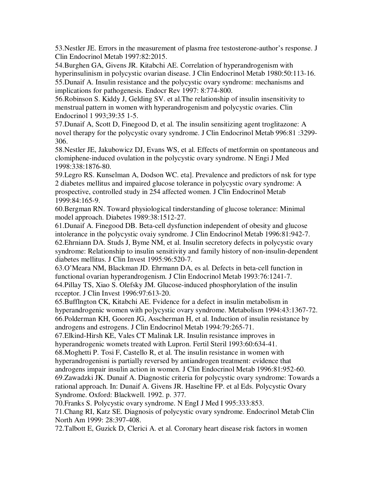53.Nestler JE. Errors in the measurement of plasma free testosterone-author's response. J Clin Endocrinol Metab 1997:82:2015.

54.Burghen GA, Givens JR. Kitabchi AE. Correlation of hyperandrogenism with hyperinsulinism in polycystic ovarian disease. J Clin Endocrinol Metab 1980:50:113-16. 55.Dunaif A. Insulin resistance and the polycystic ovary syndrome: mechanisms and implications for pathogenesis. Endocr Rev 1997: 8:774-800.

56.Robinson S. Kiddy J, Gelding SV. et al.The relationship of insulin insensitivity to menstrual pattern in women with hyperandrogenism and polycystic ovaries. Clin Endocrinol 1 993;39:35 1-5.

57.Dunaif A, Scott D, Finegood D, et al. The insulin sensitizing agent troglitazone: A novel therapy for the polycystic ovary syndrome. J Clin Endocrinol Metab 996:81 :3299- 306.

58.Nestler JE, Jakubowicz DJ, Evans WS, et al. Effects of metformin on spontaneous and clomiphene-induced ovulation in the polycystic ovary syndrome. N Engi J Med 1998:338:1876-80.

59.Legro RS. Kunselman A, Dodson WC. eta]. Prevalence and predictors of nsk for type 2 diabetes mellitus and impaired glucose tolerance in polycystic ovary syndrome: A prospective, controlled study in 254 affected women. J Clin Endocrinol Metab 1999:84:165-9.

60.Bergman RN. Toward physiological tinderstanding of glucose tolerance: Minimal model approach. Diabetes 1989:38:1512-27.

61.Dunaif A. Finegood DB. Beta-cell dysfunction independent of obesity and glucose intolerance in the polycystic ovaiy syndrome. J Clin Endocrinol Metab 1996:81:942-7. 62.Ehrniann DA. Studs J, Byme NM, et al. Insulin secretory defects in polycystic ovary syndrome: Relationship to insulin sensitivity and family history of non-insulin-dependent diabetes mellitus. J Clin Invest 1995:96:520-7.

63.O'Meara NM, Blackman JD. Ehrmann DA, es al. Defects in beta-cell function in functional ovarian hyperandrogenism. J Clin Endocrinol Metab 1993:76:1241-7. 64.Pillay TS, Xiao S. Olefsky JM. Glucose-induced phosphorylation of the insulin rcceptor. J Clin Invest 1996:97:613-20.

65.Bufflngton CK, Kitabchi AE. Fvidence for a defect in insulin metabolism in hyperandrogenic women with po]ycystic ovary syndrome. Metabolism 1994:43:1367-72. 66.Polderman KH, Gooren JG, Asscherman H, et al. Induction of insulin resistance by androgens and estrogens. J Clin Endocrinol Metab 1994:79:265-71.

67.Elkind-Hirsh KE, Vales CT Malinak LR. Insulin resistance improves in hyperandrogenic womets treated with Lupron. Fertil Steril 1993:60:634-41.

68.Moghetti P. Tosi F, Castello R, et al. The insulin resistance in women with hyperandrogenisni is partially reversed by antiandrogen treatment: evidence that androgens impair insulin action in women. J Clin Endocrinol Metab 1996:81:952-60. 69.Zawadzki JK. Dunaif A. Diagnostic criteria for polycystic ovary syndrome: Towards a

rational approach. In: Dunaif A. Givens JR. Haseltine FP. et al Eds. Polycystic Ovary Syndrome. Oxford: Blackwell. 1992. p. 377.

70.Franks S. Polycystic ovary syndrome. N EngI J Med I 995:333:853.

71.Chang RI, Katz SE. Diagnosis of polycystic ovary syndrome. Endocrinol Metab Clin North Am 1999: 28:397-408.

72.Talbott E, Guzick D, Clerici A. et al. Coronary heart disease risk factors in women